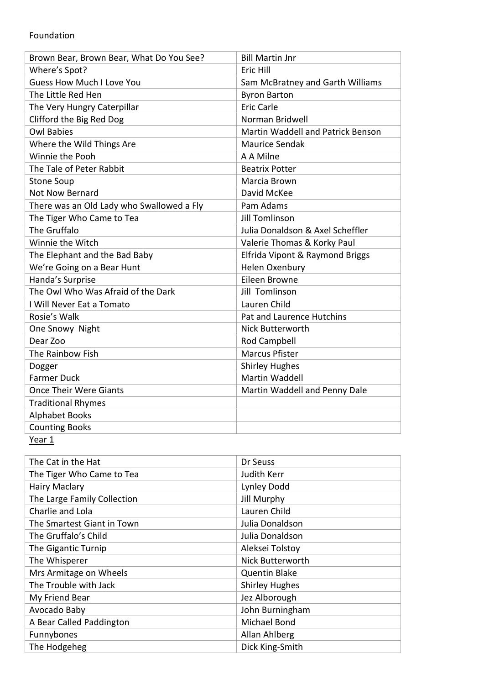## **Foundation**

| Where's Spot?<br>Eric Hill<br><b>Guess How Much I Love You</b><br>Sam McBratney and Garth Williams |  |
|----------------------------------------------------------------------------------------------------|--|
|                                                                                                    |  |
|                                                                                                    |  |
| The Little Red Hen<br><b>Byron Barton</b>                                                          |  |
| <b>Eric Carle</b><br>The Very Hungry Caterpillar                                                   |  |
| Clifford the Big Red Dog<br>Norman Bridwell                                                        |  |
| <b>Owl Babies</b><br>Martin Waddell and Patrick Benson                                             |  |
| Where the Wild Things Are<br><b>Maurice Sendak</b>                                                 |  |
| Winnie the Pooh<br>A A Milne                                                                       |  |
| The Tale of Peter Rabbit<br><b>Beatrix Potter</b>                                                  |  |
| <b>Stone Soup</b><br>Marcia Brown                                                                  |  |
| <b>Not Now Bernard</b><br>David McKee                                                              |  |
| There was an Old Lady who Swallowed a Fly<br>Pam Adams                                             |  |
| The Tiger Who Came to Tea<br><b>Jill Tomlinson</b>                                                 |  |
| The Gruffalo<br>Julia Donaldson & Axel Scheffler                                                   |  |
| Winnie the Witch<br>Valerie Thomas & Korky Paul                                                    |  |
| The Elephant and the Bad Baby<br>Elfrida Vipont & Raymond Briggs                                   |  |
| We're Going on a Bear Hunt<br>Helen Oxenbury                                                       |  |
| Handa's Surprise<br>Eileen Browne                                                                  |  |
| The Owl Who Was Afraid of the Dark<br><b>Jill Tomlinson</b>                                        |  |
| Lauren Child<br>I Will Never Eat a Tomato                                                          |  |
| Rosie's Walk<br>Pat and Laurence Hutchins                                                          |  |
| One Snowy Night<br><b>Nick Butterworth</b>                                                         |  |
| Dear Zoo<br>Rod Campbell                                                                           |  |
| <b>Marcus Pfister</b><br>The Rainbow Fish                                                          |  |
| <b>Shirley Hughes</b><br>Dogger                                                                    |  |
| <b>Martin Waddell</b><br><b>Farmer Duck</b>                                                        |  |
| <b>Once Their Were Giants</b><br>Martin Waddell and Penny Dale                                     |  |
| <b>Traditional Rhymes</b>                                                                          |  |
| <b>Alphabet Books</b>                                                                              |  |
| <b>Counting Books</b>                                                                              |  |

Year 1

| The Cat in the Hat          | Dr Seuss              |
|-----------------------------|-----------------------|
| The Tiger Who Came to Tea   | Judith Kerr           |
| <b>Hairy Maclary</b>        | Lynley Dodd           |
| The Large Family Collection | <b>Jill Murphy</b>    |
| Charlie and Lola            | Lauren Child          |
| The Smartest Giant in Town  | Julia Donaldson       |
| The Gruffalo's Child        | Julia Donaldson       |
| The Gigantic Turnip         | Aleksei Tolstoy       |
| The Whisperer               | Nick Butterworth      |
| Mrs Armitage on Wheels      | <b>Quentin Blake</b>  |
| The Trouble with Jack       | <b>Shirley Hughes</b> |
| My Friend Bear              | Jez Alborough         |
| Avocado Baby                | John Burningham       |
| A Bear Called Paddington    | Michael Bond          |
| Funnybones                  | Allan Ahlberg         |
| The Hodgeheg                | Dick King-Smith       |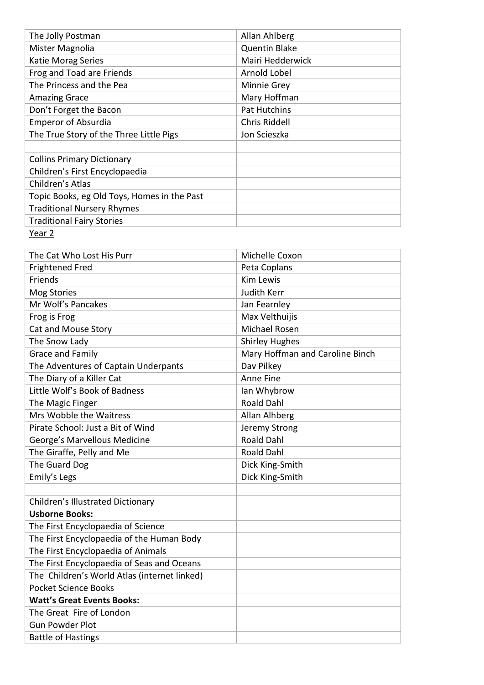| The Jolly Postman                           | Allan Ahlberg        |
|---------------------------------------------|----------------------|
| Mister Magnolia                             | <b>Quentin Blake</b> |
| Katie Morag Series                          | Mairi Hedderwick     |
| Frog and Toad are Friends                   | Arnold Lobel         |
| The Princess and the Pea                    | Minnie Grey          |
| <b>Amazing Grace</b>                        | Mary Hoffman         |
| Don't Forget the Bacon                      | Pat Hutchins         |
| <b>Emperor of Absurdia</b>                  | Chris Riddell        |
| The True Story of the Three Little Pigs     | Jon Scieszka         |
|                                             |                      |
| <b>Collins Primary Dictionary</b>           |                      |
| Children's First Encyclopaedia              |                      |
| Children's Atlas                            |                      |
| Topic Books, eg Old Toys, Homes in the Past |                      |
| <b>Traditional Nursery Rhymes</b>           |                      |
| <b>Traditional Fairy Stories</b>            |                      |
| Year 2                                      |                      |

| The Cat Who Lost His Purr                    | Michelle Coxon                  |
|----------------------------------------------|---------------------------------|
| <b>Frightened Fred</b>                       | Peta Coplans                    |
| Friends                                      | <b>Kim Lewis</b>                |
| <b>Mog Stories</b>                           | Judith Kerr                     |
| Mr Wolf's Pancakes                           | Jan Fearnley                    |
| Frog is Frog                                 | Max Velthuijis                  |
| Cat and Mouse Story                          | <b>Michael Rosen</b>            |
| The Snow Lady                                | <b>Shirley Hughes</b>           |
| Grace and Family                             | Mary Hoffman and Caroline Binch |
| The Adventures of Captain Underpants         | Dav Pilkey                      |
| The Diary of a Killer Cat                    | Anne Fine                       |
| Little Wolf's Book of Badness                | Ian Whybrow                     |
| The Magic Finger                             | <b>Roald Dahl</b>               |
| Mrs Wobble the Waitress                      | Allan Alhberg                   |
| Pirate School: Just a Bit of Wind            | Jeremy Strong                   |
| George's Marvellous Medicine                 | <b>Roald Dahl</b>               |
| The Giraffe, Pelly and Me                    | <b>Roald Dahl</b>               |
| The Guard Dog                                | Dick King-Smith                 |
| Emily's Legs                                 | Dick King-Smith                 |
|                                              |                                 |
| Children's Illustrated Dictionary            |                                 |
| <b>Usborne Books:</b>                        |                                 |
| The First Encyclopaedia of Science           |                                 |
| The First Encyclopaedia of the Human Body    |                                 |
| The First Encyclopaedia of Animals           |                                 |
| The First Encyclopaedia of Seas and Oceans   |                                 |
| The Children's World Atlas (internet linked) |                                 |
| <b>Pocket Science Books</b>                  |                                 |
| <b>Watt's Great Events Books:</b>            |                                 |
| The Great Fire of London                     |                                 |
| <b>Gun Powder Plot</b>                       |                                 |
| <b>Battle of Hastings</b>                    |                                 |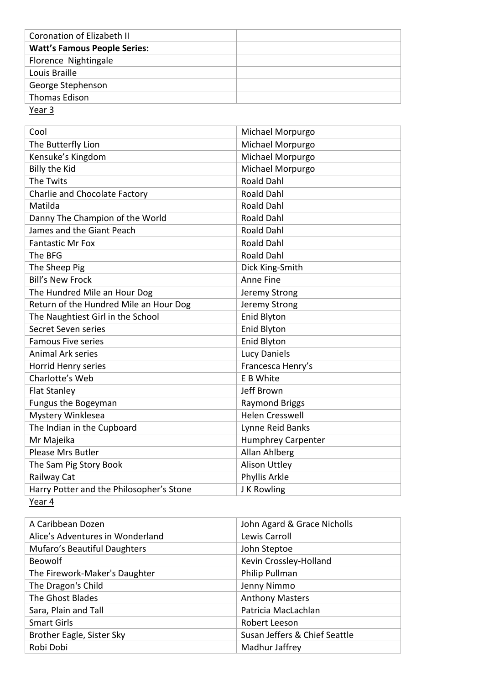| Coronation of Elizabeth II          |  |
|-------------------------------------|--|
| <b>Watt's Famous People Series:</b> |  |
| Florence Nightingale                |  |
| Louis Braille                       |  |
| George Stephenson                   |  |
| Thomas Edison                       |  |
|                                     |  |

Year 3

| Cool                                     | Michael Morpurgo          |
|------------------------------------------|---------------------------|
| The Butterfly Lion                       | Michael Morpurgo          |
| Kensuke's Kingdom                        | Michael Morpurgo          |
| <b>Billy the Kid</b>                     | Michael Morpurgo          |
| The Twits                                | <b>Roald Dahl</b>         |
| Charlie and Chocolate Factory            | <b>Roald Dahl</b>         |
| Matilda                                  | <b>Roald Dahl</b>         |
| Danny The Champion of the World          | <b>Roald Dahl</b>         |
| James and the Giant Peach                | <b>Roald Dahl</b>         |
| <b>Fantastic Mr Fox</b>                  | <b>Roald Dahl</b>         |
| The BFG                                  | <b>Roald Dahl</b>         |
| The Sheep Pig                            | Dick King-Smith           |
| <b>Bill's New Frock</b>                  | Anne Fine                 |
| The Hundred Mile an Hour Dog             | Jeremy Strong             |
| Return of the Hundred Mile an Hour Dog   | Jeremy Strong             |
| The Naughtiest Girl in the School        | Enid Blyton               |
| Secret Seven series                      | Enid Blyton               |
| <b>Famous Five series</b>                | <b>Enid Blyton</b>        |
| <b>Animal Ark series</b>                 | <b>Lucy Daniels</b>       |
| Horrid Henry series                      | Francesca Henry's         |
| Charlotte's Web                          | E B White                 |
| <b>Flat Stanley</b>                      | Jeff Brown                |
| Fungus the Bogeyman                      | <b>Raymond Briggs</b>     |
| Mystery Winklesea                        | <b>Helen Cresswell</b>    |
| The Indian in the Cupboard               | Lynne Reid Banks          |
| Mr Majeika                               | <b>Humphrey Carpenter</b> |
| Please Mrs Butler                        | Allan Ahlberg             |
| The Sam Pig Story Book                   | <b>Alison Uttley</b>      |
| Railway Cat                              | Phyllis Arkle             |
| Harry Potter and the Philosopher's Stone | J K Rowling               |

Year 4

| A Caribbean Dozen                | John Agard & Grace Nicholls   |
|----------------------------------|-------------------------------|
| Alice's Adventures in Wonderland | Lewis Carroll                 |
| Mufaro's Beautiful Daughters     | John Steptoe                  |
| Beowolf                          | Kevin Crossley-Holland        |
| The Firework-Maker's Daughter    | Philip Pullman                |
| The Dragon's Child               | Jenny Nimmo                   |
| The Ghost Blades                 | <b>Anthony Masters</b>        |
| Sara, Plain and Tall             | Patricia MacLachlan           |
| <b>Smart Girls</b>               | Robert Leeson                 |
| Brother Eagle, Sister Sky        | Susan Jeffers & Chief Seattle |
| Robi Dobi                        | Madhur Jaffrey                |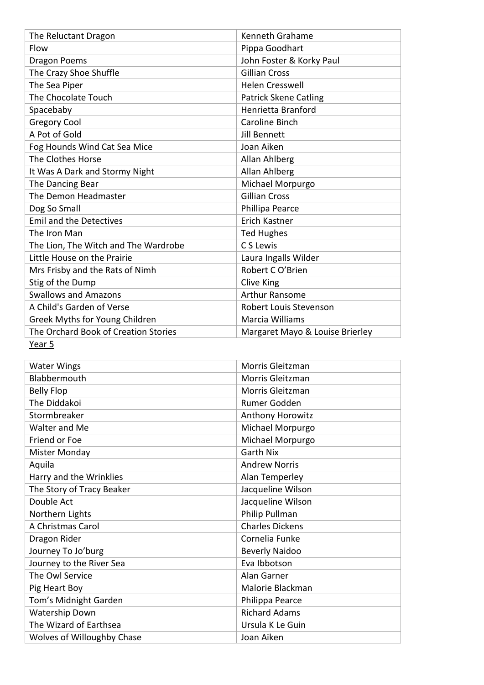| The Reluctant Dragon                 | Kenneth Grahame                 |
|--------------------------------------|---------------------------------|
| Flow                                 | Pippa Goodhart                  |
| <b>Dragon Poems</b>                  | John Foster & Korky Paul        |
| The Crazy Shoe Shuffle               | <b>Gillian Cross</b>            |
| The Sea Piper                        | <b>Helen Cresswell</b>          |
| The Chocolate Touch                  | <b>Patrick Skene Catling</b>    |
| Spacebaby                            | Henrietta Branford              |
| <b>Gregory Cool</b>                  | Caroline Binch                  |
| A Pot of Gold                        | Jill Bennett                    |
| Fog Hounds Wind Cat Sea Mice         | Joan Aiken                      |
| The Clothes Horse                    | Allan Ahlberg                   |
| It Was A Dark and Stormy Night       | Allan Ahlberg                   |
| The Dancing Bear                     | Michael Morpurgo                |
| The Demon Headmaster                 | <b>Gillian Cross</b>            |
| Dog So Small                         | Phillipa Pearce                 |
| <b>Emil and the Detectives</b>       | Erich Kastner                   |
| The Iron Man                         | <b>Ted Hughes</b>               |
| The Lion, The Witch and The Wardrobe | C S Lewis                       |
| Little House on the Prairie          | Laura Ingalls Wilder            |
| Mrs Frisby and the Rats of Nimh      | Robert C O'Brien                |
| Stig of the Dump                     | Clive King                      |
| <b>Swallows and Amazons</b>          | Arthur Ransome                  |
| A Child's Garden of Verse            | Robert Louis Stevenson          |
| Greek Myths for Young Children       | Marcia Williams                 |
| The Orchard Book of Creation Stories | Margaret Mayo & Louise Brierley |
| Year 5                               |                                 |

| <b>Water Wings</b>         | Morris Gleitzman       |
|----------------------------|------------------------|
| Blabbermouth               | Morris Gleitzman       |
| <b>Belly Flop</b>          | Morris Gleitzman       |
| The Diddakoi               | Rumer Godden           |
| Stormbreaker               | Anthony Horowitz       |
| Walter and Me              | Michael Morpurgo       |
| Friend or Foe              | Michael Morpurgo       |
| <b>Mister Monday</b>       | <b>Garth Nix</b>       |
| Aquila                     | <b>Andrew Norris</b>   |
| Harry and the Wrinklies    | Alan Temperley         |
| The Story of Tracy Beaker  | Jacqueline Wilson      |
| Double Act                 | Jacqueline Wilson      |
| Northern Lights            | Philip Pullman         |
| A Christmas Carol          | <b>Charles Dickens</b> |
| Dragon Rider               | Cornelia Funke         |
| Journey To Jo'burg         | <b>Beverly Naidoo</b>  |
| Journey to the River Sea   | Eva Ibbotson           |
| The Owl Service            | Alan Garner            |
| Pig Heart Boy              | Malorie Blackman       |
| Tom's Midnight Garden      | Philippa Pearce        |
| Watership Down             | <b>Richard Adams</b>   |
| The Wizard of Earthsea     | Ursula K Le Guin       |
| Wolves of Willoughby Chase | Joan Aiken             |